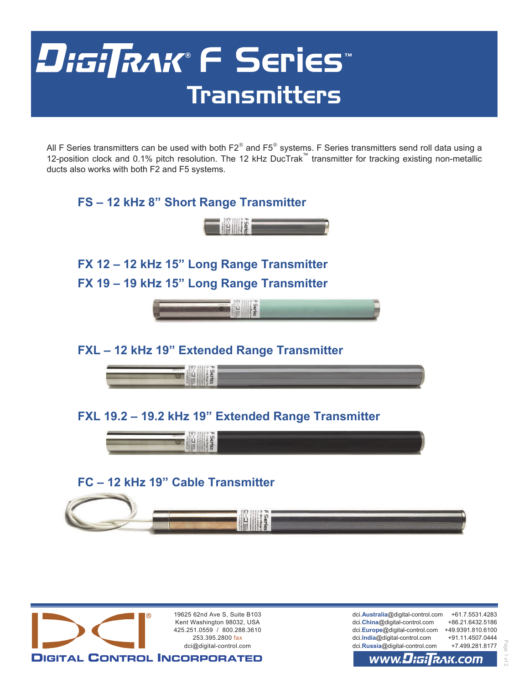# DiGi∏RAK® F Series™ Transmitters

All F Series transmitters can be used with both  $F2^{\circ}$  and F5 $^{\circ}$  systems. F Series transmitters send roll data using a 12-position clock and 0.1% pitch resolution. The 12 kHz DucTrak™ transmitter for tracking existing non-metallic ducts also works with both F2 and F5 systems.





### **FC – 12 kHz 19" Cable Transmitter**





dci.**Australia**@digital-control.com +61.7.5531.4283 dci.**China**@digital-control.com +86.21.6432.5186 dci.**Europe**@digital-control.com +49.9391.810.6100 dci.**India**@digital-control.com +91.11.4507.0444 dci.**Russia**@digital-control.com +7.499.281.8177

Page 1 of 2

 $\supseteq$ 

#### www.Disil lฌK.COM